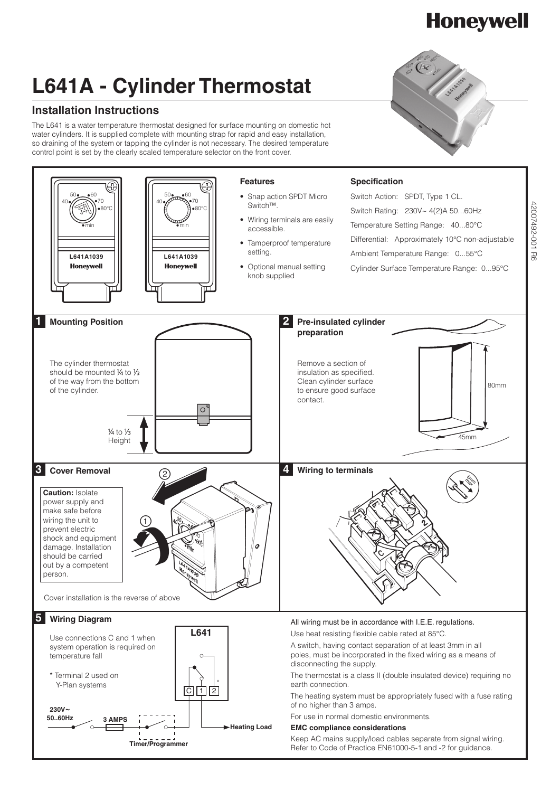## **L641A - Cylinder Thermostat**

### **Installation Instructions**

The L641 is a water temperature thermostat designed for surface mounting on domestic hot water cylinders. It is supplied complete with mounting strap for rapid and easy installation, so draining of the system or tapping the cylinder is not necessary. The desired temperature control point is set by the clearly scaled temperature selector on the front cover.



# **Honeywell**

42007492-001 R6 42007492-001 R6